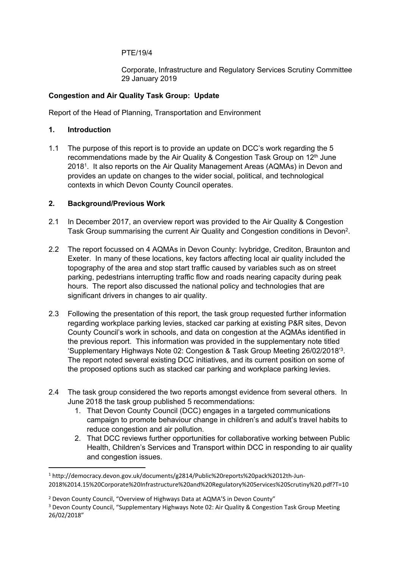#### PTE/19/4

Corporate, Infrastructure and Regulatory Services Scrutiny Committee 29 January 2019

### **Congestion and Air Quality Task Group: Update**

Report of the Head of Planning, Transportation and Environment

### **1. Introduction**

1.1 The purpose of this report is to provide an update on DCC's work regarding the 5 recommendations made by the Air Quality & Congestion Task Group on 12th June 2018<sup>1</sup>. It also reports on the Air Quality Management Areas (AQMAs) in Devon and provides an update on changes to the wider social, political, and technological contexts in which Devon County Council operates.

### **2. Background/Previous Work**

- 2.1 In December 2017, an overview report was provided to the Air Quality & Congestion Task Group summarising the current Air Quality and Congestion conditions in Devon<sup>2</sup>.
- 2.2 The report focussed on 4 AQMAs in Devon County: Ivybridge, Crediton, Braunton and Exeter. In many of these locations, key factors affecting local air quality included the topography of the area and stop start traffic caused by variables such as on street parking, pedestrians interrupting traffic flow and roads nearing capacity during peak hours. The report also discussed the national policy and technologies that are significant drivers in changes to air quality.
- 2.3 Following the presentation of this report, the task group requested further information regarding workplace parking levies, stacked car parking at existing P&R sites, Devon County Council's work in schools, and data on congestion at the AQMAs identified in the previous report. This information was provided in the supplementary note titled 'Supplementary Highways Note 02: Congestion & Task Group Meeting 26/02/2018'<sup>3</sup> . The report noted several existing DCC initiatives, and its current position on some of the proposed options such as stacked car parking and workplace parking levies.
- 2.4 The task group considered the two reports amongst evidence from several others. In June 2018 the task group published 5 recommendations:
	- 1. That Devon County Council (DCC) engages in a targeted communications campaign to promote behaviour change in children's and adult's travel habits to reduce congestion and air pollution.
	- 2. That DCC reviews further opportunities for collaborative working between Public Health, Children's Services and Transport within DCC in responding to air quality and congestion issues.

<sup>1</sup> http://democracy.devon.gov.uk/documents/g2814/Public%20reports%20pack%2012th-Jun-2018%2014.15%20Corporate%20Infrastructure%20and%20Regulatory%20Services%20Scrutiny%20.pdf?T=10

<sup>2</sup> Devon County Council, "Overview of Highways Data at AQMA'S in Devon County"

<sup>3</sup> Devon County Council, "Supplementary Highways Note 02: Air Quality & Congestion Task Group Meeting 26/02/2018"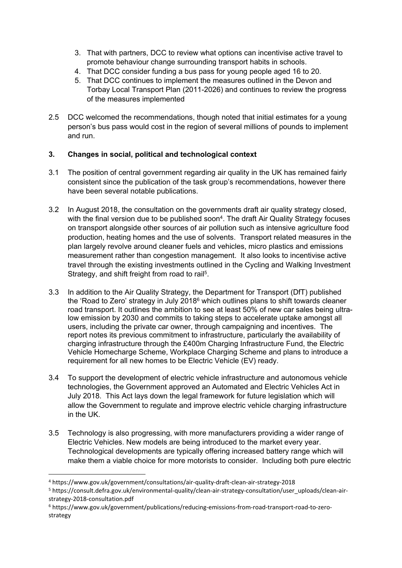- 3. That with partners, DCC to review what options can incentivise active travel to promote behaviour change surrounding transport habits in schools.
- 4. That DCC consider funding a bus pass for young people aged 16 to 20.
- 5. That DCC continues to implement the measures outlined in the Devon and Torbay Local Transport Plan (2011-2026) and continues to review the progress of the measures implemented
- 2.5 DCC welcomed the recommendations, though noted that initial estimates for a young person's bus pass would cost in the region of several millions of pounds to implement and run.

# **3. Changes in social, political and technological context**

- 3.1 The position of central government regarding air quality in the UK has remained fairly consistent since the publication of the task group's recommendations, however there have been several notable publications.
- 3.2 In August 2018, the consultation on the governments draft air quality strategy closed, with the final version due to be published soon<sup>4</sup>. The draft Air Quality Strategy focuses on transport alongside other sources of air pollution such as intensive agriculture food production, heating homes and the use of solvents. Transport related measures in the plan largely revolve around cleaner fuels and vehicles, micro plastics and emissions measurement rather than congestion management. It also looks to incentivise active travel through the existing investments outlined in the Cycling and Walking Investment Strategy, and shift freight from road to rail<sup>5</sup>.
- 3.3 In addition to the Air Quality Strategy, the Department for Transport (DfT) published the 'Road to Zero' strategy in July 2018<sup>6</sup> which outlines plans to shift towards cleaner road transport. It outlines the ambition to see at least 50% of new car sales being ultralow emission by 2030 and commits to taking steps to accelerate uptake amongst all users, including the private car owner, through campaigning and incentives. The report notes its previous commitment to infrastructure, particularly the availability of charging infrastructure through the £400m Charging Infrastructure Fund, the Electric Vehicle Homecharge Scheme, Workplace Charging Scheme and plans to introduce a requirement for all new homes to be Electric Vehicle (EV) ready.
- 3.4 To support the development of electric vehicle infrastructure and autonomous vehicle technologies, the Government approved an Automated and Electric Vehicles Act in July 2018. This Act lays down the legal framework for future legislation which will allow the Government to regulate and improve electric vehicle charging infrastructure in the UK.
- 3.5 Technology is also progressing, with more manufacturers providing a wider range of Electric Vehicles. New models are being introduced to the market every year. Technological developments are typically offering increased battery range which will make them a viable choice for more motorists to consider. Including both pure electric

<sup>4</sup> https://www.gov.uk/government/consultations/air-quality-draft-clean-air-strategy-2018

<sup>5</sup> https://consult.defra.gov.uk/environmental-quality/clean-air-strategy-consultation/user\_uploads/clean-airstrategy-2018-consultation.pdf

<sup>6</sup> https://www.gov.uk/government/publications/reducing-emissions-from-road-transport-road-to-zerostrategy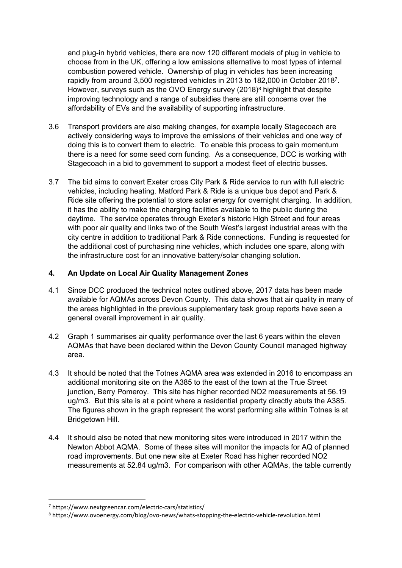and plug-in hybrid vehicles, there are now 120 different models of plug in vehicle to choose from in the UK, offering a low emissions alternative to most types of internal combustion powered vehicle. Ownership of plug in vehicles has been increasing rapidly from around 3,500 registered vehicles in 2013 to 182,000 in October 2018<sup>7</sup> . However, surveys such as the OVO Energy survey (2018)<sup>8</sup> highlight that despite improving technology and a range of subsidies there are still concerns over the affordability of EVs and the availability of supporting infrastructure.

- 3.6 Transport providers are also making changes, for example locally Stagecoach are actively considering ways to improve the emissions of their vehicles and one way of doing this is to convert them to electric. To enable this process to gain momentum there is a need for some seed corn funding. As a consequence, DCC is working with Stagecoach in a bid to government to support a modest fleet of electric busses.
- 3.7 The bid aims to convert Exeter cross City Park & Ride service to run with full electric vehicles, including heating. Matford Park & Ride is a unique bus depot and Park & Ride site offering the potential to store solar energy for overnight charging. In addition, it has the ability to make the charging facilities available to the public during the daytime. The service operates through Exeter's historic High Street and four areas with poor air quality and links two of the South West's largest industrial areas with the city centre in addition to traditional Park & Ride connections. Funding is requested for the additional cost of purchasing nine vehicles, which includes one spare, along with the infrastructure cost for an innovative battery/solar changing solution.

## **4. An Update on Local Air Quality Management Zones**

- 4.1 Since DCC produced the technical notes outlined above, 2017 data has been made available for AQMAs across Devon County. This data shows that air quality in many of the areas highlighted in the previous supplementary task group reports have seen a general overall improvement in air quality.
- 4.2 Graph 1 summarises air quality performance over the last 6 years within the eleven AQMAs that have been declared within the Devon County Council managed highway area.
- 4.3 It should be noted that the Totnes AQMA area was extended in 2016 to encompass an additional monitoring site on the A385 to the east of the town at the True Street junction, Berry Pomeroy. This site has higher recorded NO2 measurements at 56.19 ug/m3. But this site is at a point where a residential property directly abuts the A385. The figures shown in the graph represent the worst performing site within Totnes is at Bridgetown Hill.
- 4.4 It should also be noted that new monitoring sites were introduced in 2017 within the Newton Abbot AQMA. Some of these sites will monitor the impacts for AQ of planned road improvements. But one new site at Exeter Road has higher recorded NO2 measurements at 52.84 ug/m3. For comparison with other AQMAs, the table currently

<sup>7</sup> https://www.nextgreencar.com/electric-cars/statistics/

<sup>8</sup> https://www.ovoenergy.com/blog/ovo-news/whats-stopping-the-electric-vehicle-revolution.html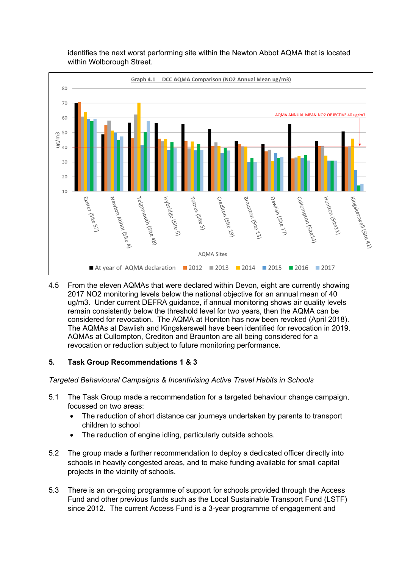

identifies the next worst performing site within the Newton Abbot AQMA that is located within Wolborough Street.

4.5 From the eleven AQMAs that were declared within Devon, eight are currently showing 2017 NO2 monitoring levels below the national objective for an annual mean of 40 ug/m3. Under current DEFRA guidance, if annual monitoring shows air quality levels remain consistently below the threshold level for two years, then the AQMA can be considered for revocation. The AQMA at Honiton has now been revoked (April 2018). The AQMAs at Dawlish and Kingskerswell have been identified for revocation in 2019. AQMAs at Cullompton, Crediton and Braunton are all being considered for a revocation or reduction subject to future monitoring performance.

### **5. Task Group Recommendations 1 & 3**

*Targeted Behavioural Campaigns & Incentivising Active Travel Habits in Schools*

- 5.1 The Task Group made a recommendation for a targeted behaviour change campaign, focussed on two areas:
	- The reduction of short distance car journeys undertaken by parents to transport children to school
	- The reduction of engine idling, particularly outside schools.
- 5.2 The group made a further recommendation to deploy a dedicated officer directly into schools in heavily congested areas, and to make funding available for small capital projects in the vicinity of schools.
- 5.3 There is an on-going programme of support for schools provided through the Access Fund and other previous funds such as the Local Sustainable Transport Fund (LSTF) since 2012. The current Access Fund is a 3-year programme of engagement and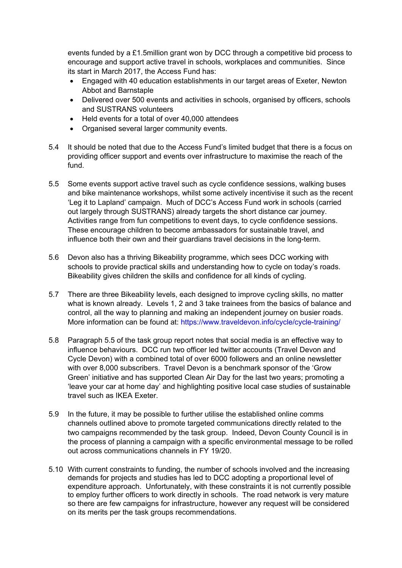events funded by a £1.5million grant won by DCC through a competitive bid process to encourage and support active travel in schools, workplaces and communities. Since its start in March 2017, the Access Fund has:

- Engaged with 40 education establishments in our target areas of Exeter, Newton Abbot and Barnstaple
- Delivered over 500 events and activities in schools, organised by officers, schools and SUSTRANS volunteers
- Held events for a total of over 40,000 attendees
- Organised several larger community events.
- 5.4 It should be noted that due to the Access Fund's limited budget that there is a focus on providing officer support and events over infrastructure to maximise the reach of the fund.
- 5.5 Some events support active travel such as cycle confidence sessions, walking buses and bike maintenance workshops, whilst some actively incentivise it such as the recent 'Leg it to Lapland' campaign. Much of DCC's Access Fund work in schools (carried out largely through SUSTRANS) already targets the short distance car journey. Activities range from fun competitions to event days, to cycle confidence sessions. These encourage children to become ambassadors for sustainable travel, and influence both their own and their guardians travel decisions in the long-term.
- 5.6 Devon also has a thriving Bikeability programme, which sees DCC working with schools to provide practical skills and understanding how to cycle on today's roads. Bikeability gives children the skills and confidence for all kinds of cycling.
- 5.7 There are three Bikeability levels, each designed to improve cycling skills, no matter what is known already. Levels 1, 2 and 3 take trainees from the basics of balance and control, all the way to planning and making an independent journey on busier roads. More information can be found at: <https://www.traveldevon.info/cycle/cycle-training/>
- 5.8 Paragraph 5.5 of the task group report notes that social media is an effective way to influence behaviours. DCC run two officer led twitter accounts (Travel Devon and Cycle Devon) with a combined total of over 6000 followers and an online newsletter with over 8,000 subscribers. Travel Devon is a benchmark sponsor of the 'Grow Green' initiative and has supported Clean Air Day for the last two years; promoting a 'leave your car at home day' and highlighting positive local case studies of sustainable travel such as IKEA Exeter.
- 5.9 In the future, it may be possible to further utilise the established online comms channels outlined above to promote targeted communications directly related to the two campaigns recommended by the task group. Indeed, Devon County Council is in the process of planning a campaign with a specific environmental message to be rolled out across communications channels in FY 19/20.
- 5.10 With current constraints to funding, the number of schools involved and the increasing demands for projects and studies has led to DCC adopting a proportional level of expenditure approach. Unfortunately, with these constraints it is not currently possible to employ further officers to work directly in schools. The road network is very mature so there are few campaigns for infrastructure, however any request will be considered on its merits per the task groups recommendations.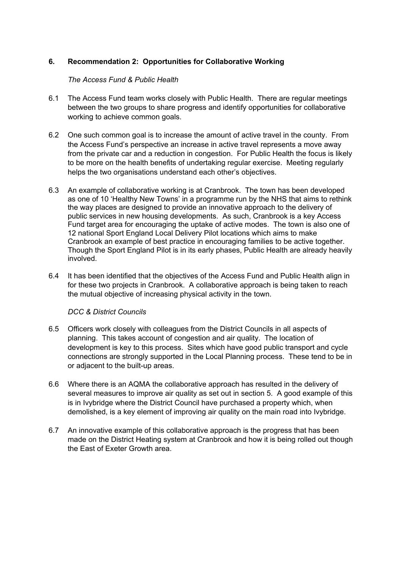## **6. Recommendation 2: Opportunities for Collaborative Working**

## *The Access Fund & Public Health*

- 6.1 The Access Fund team works closely with Public Health. There are regular meetings between the two groups to share progress and identify opportunities for collaborative working to achieve common goals.
- 6.2 One such common goal is to increase the amount of active travel in the county. From the Access Fund's perspective an increase in active travel represents a move away from the private car and a reduction in congestion. For Public Health the focus is likely to be more on the health benefits of undertaking regular exercise. Meeting regularly helps the two organisations understand each other's objectives.
- 6.3 An example of collaborative working is at Cranbrook. The town has been developed as one of 10 'Healthy New Towns' in a programme run by the NHS that aims to rethink the way places are designed to provide an innovative approach to the delivery of public services in new housing developments. As such, Cranbrook is a key Access Fund target area for encouraging the uptake of active modes. The town is also one of 12 national Sport England Local Delivery Pilot locations which aims to make Cranbrook an example of best practice in encouraging families to be active together. Though the Sport England Pilot is in its early phases, Public Health are already heavily involved.
- 6.4 It has been identified that the objectives of the Access Fund and Public Health align in for these two projects in Cranbrook. A collaborative approach is being taken to reach the mutual objective of increasing physical activity in the town.

### *DCC & District Councils*

- 6.5 Officers work closely with colleagues from the District Councils in all aspects of planning. This takes account of congestion and air quality. The location of development is key to this process. Sites which have good public transport and cycle connections are strongly supported in the Local Planning process. These tend to be in or adjacent to the built-up areas.
- 6.6 Where there is an AQMA the collaborative approach has resulted in the delivery of several measures to improve air quality as set out in section 5. A good example of this is in Ivybridge where the District Council have purchased a property which, when demolished, is a key element of improving air quality on the main road into Ivybridge.
- 6.7 An innovative example of this collaborative approach is the progress that has been made on the District Heating system at Cranbrook and how it is being rolled out though the East of Exeter Growth area.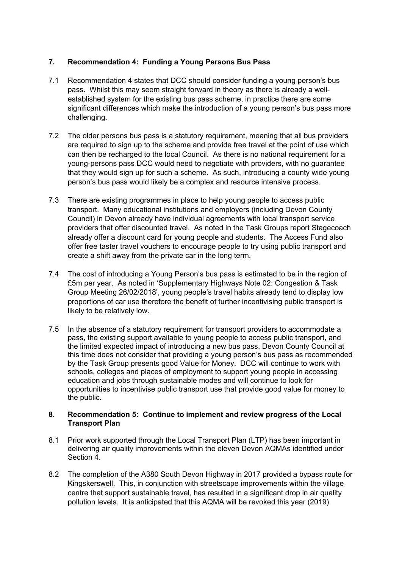## **7. Recommendation 4: Funding a Young Persons Bus Pass**

- 7.1 Recommendation 4 states that DCC should consider funding a young person's bus pass. Whilst this may seem straight forward in theory as there is already a wellestablished system for the existing bus pass scheme, in practice there are some significant differences which make the introduction of a young person's bus pass more challenging.
- 7.2 The older persons bus pass is a statutory requirement, meaning that all bus providers are required to sign up to the scheme and provide free travel at the point of use which can then be recharged to the local Council. As there is no national requirement for a young-persons pass DCC would need to negotiate with providers, with no guarantee that they would sign up for such a scheme. As such, introducing a county wide young person's bus pass would likely be a complex and resource intensive process.
- 7.3 There are existing programmes in place to help young people to access public transport. Many educational institutions and employers (including Devon County Council) in Devon already have individual agreements with local transport service providers that offer discounted travel. As noted in the Task Groups report Stagecoach already offer a discount card for young people and students. The Access Fund also offer free taster travel vouchers to encourage people to try using public transport and create a shift away from the private car in the long term.
- 7.4 The cost of introducing a Young Person's bus pass is estimated to be in the region of £5m per year. As noted in 'Supplementary Highways Note 02: Congestion & Task Group Meeting 26/02/2018', young people's travel habits already tend to display low proportions of car use therefore the benefit of further incentivising public transport is likely to be relatively low.
- 7.5 In the absence of a statutory requirement for transport providers to accommodate a pass, the existing support available to young people to access public transport, and the limited expected impact of introducing a new bus pass, Devon County Council at this time does not consider that providing a young person's bus pass as recommended by the Task Group presents good Value for Money. DCC will continue to work with schools, colleges and places of employment to support young people in accessing education and jobs through sustainable modes and will continue to look for opportunities to incentivise public transport use that provide good value for money to the public.

#### **8. Recommendation 5: Continue to implement and review progress of the Local Transport Plan**

- 8.1 Prior work supported through the Local Transport Plan (LTP) has been important in delivering air quality improvements within the eleven Devon AQMAs identified under Section 4.
- 8.2 The completion of the A380 South Devon Highway in 2017 provided a bypass route for Kingskerswell. This, in conjunction with streetscape improvements within the village centre that support sustainable travel, has resulted in a significant drop in air quality pollution levels. It is anticipated that this AQMA will be revoked this year (2019).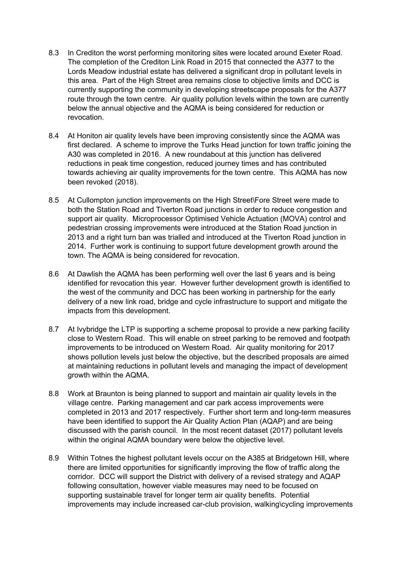- 8.3 In Crediton the worst performing monitoring sites were located around Exeter Road. The completion of the Crediton Link Road in 2015 that connected the A377 to the Lords Meadow industrial estate has delivered a significant drop in pollutant levels in this area. Part of the High Street area remains close to objective limits and DCC is currently supporting the community in developing streetscape proposals for the A377 route through the town centre. Air quality pollution levels within the town are currently below the annual objective and the AQMA is being considered for reduction or revocation.
- 8.4 At Honiton air quality levels have been improving consistently since the AQMA was first declared. A scheme to improve the Turks Head junction for town traffic joining the A30 was completed in 2016. A new roundabout at this junction has delivered reductions in peak time congestion, reduced journey times and has contributed towards achieving air quality improvements for the town centre. This AQMA has now been revoked (2018).
- 8.5 At Cullompton junction improvements on the High Street\Fore Street were made to both the Station Road and Tiverton Road junctions in order to reduce congestion and support air quality. Microprocessor Optimised Vehicle Actuation (MOVA) control and pedestrian crossing improvements were introduced at the Station Road junction in 2013 and a right turn ban was trialled and introduced at the Tiverton Road junction in 2014. Further work is continuing to support future development growth around the town. The AQMA is being considered for revocation.
- 8.6 At Dawlish the AQMA has been performing well over the last 6 years and is being identified for revocation this year. However further development growth is identified to the west of the community and DCC has been working in partnership for the early delivery of a new link road, bridge and cycle infrastructure to support and mitigate the impacts from this development.
- 8.7 At Ivybridge the LTP is supporting a scheme proposal to provide a new parking facility close to Western Road. This will enable on street parking to be removed and footpath improvements to be introduced on Western Road. Air quality monitoring for 2017 shows pollution levels just below the objective, but the described proposals are aimed at maintaining reductions in pollutant levels and managing the impact of development growth within the AQMA.
- 8.8 Work at Braunton is being planned to support and maintain air quality levels in the village centre. Parking management and car park access improvements were completed in 2013 and 2017 respectively. Further short term and long-term measures have been identified to support the Air Quality Action Plan (AQAP) and are being discussed with the parish council. In the most recent dataset (2017) pollutant levels within the original AQMA boundary were below the objective level.
- 8.9 Within Totnes the highest pollutant levels occur on the A385 at Bridgetown Hill, where there are limited opportunities for significantly improving the flow of traffic along the corridor. DCC will support the District with delivery of a revised strategy and AQAP following consultation, however viable measures may need to be focused on supporting sustainable travel for longer term air quality benefits. Potential improvements may include increased car-club provision, walking\cycling improvements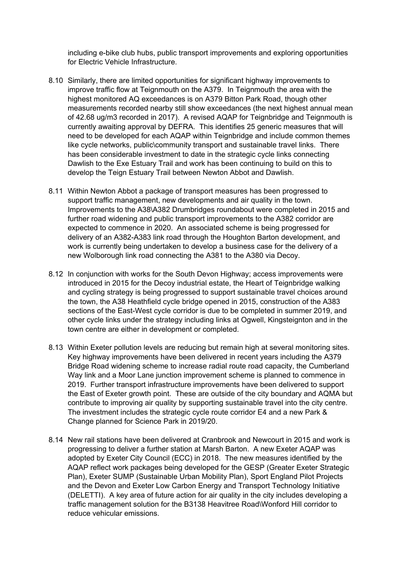including e-bike club hubs, public transport improvements and exploring opportunities for Electric Vehicle Infrastructure.

- 8.10 Similarly, there are limited opportunities for significant highway improvements to improve traffic flow at Teignmouth on the A379. In Teignmouth the area with the highest monitored AQ exceedances is on A379 Bitton Park Road, though other measurements recorded nearby still show exceedances (the next highest annual mean of 42.68 ug/m3 recorded in 2017). A revised AQAP for Teignbridge and Teignmouth is currently awaiting approval by DEFRA. This identifies 25 generic measures that will need to be developed for each AQAP within Teignbridge and include common themes like cycle networks, public\community transport and sustainable travel links. There has been considerable investment to date in the strategic cycle links connecting Dawlish to the Exe Estuary Trail and work has been continuing to build on this to develop the Teign Estuary Trail between Newton Abbot and Dawlish.
- 8.11 Within Newton Abbot a package of transport measures has been progressed to support traffic management, new developments and air quality in the town. Improvements to the A38\A382 Drumbridges roundabout were completed in 2015 and further road widening and public transport improvements to the A382 corridor are expected to commence in 2020. An associated scheme is being progressed for delivery of an A382-A383 link road through the Houghton Barton development, and work is currently being undertaken to develop a business case for the delivery of a new Wolborough link road connecting the A381 to the A380 via Decoy.
- 8.12 In conjunction with works for the South Devon Highway; access improvements were introduced in 2015 for the Decoy industrial estate, the Heart of Teignbridge walking and cycling strategy is being progressed to support sustainable travel choices around the town, the A38 Heathfield cycle bridge opened in 2015, construction of the A383 sections of the East-West cycle corridor is due to be completed in summer 2019, and other cycle links under the strategy including links at Ogwell, Kingsteignton and in the town centre are either in development or completed.
- 8.13 Within Exeter pollution levels are reducing but remain high at several monitoring sites. Key highway improvements have been delivered in recent years including the A379 Bridge Road widening scheme to increase radial route road capacity, the Cumberland Way link and a Moor Lane junction improvement scheme is planned to commence in 2019. Further transport infrastructure improvements have been delivered to support the East of Exeter growth point. These are outside of the city boundary and AQMA but contribute to improving air quality by supporting sustainable travel into the city centre. The investment includes the strategic cycle route corridor E4 and a new Park & Change planned for Science Park in 2019/20.
- 8.14 New rail stations have been delivered at Cranbrook and Newcourt in 2015 and work is progressing to deliver a further station at Marsh Barton. A new Exeter AQAP was adopted by Exeter City Council (ECC) in 2018. The new measures identified by the AQAP reflect work packages being developed for the GESP (Greater Exeter Strategic Plan), Exeter SUMP (Sustainable Urban Mobility Plan), Sport England Pilot Projects and the Devon and Exeter Low Carbon Energy and Transport Technology Initiative (DELETTI). A key area of future action for air quality in the city includes developing a traffic management solution for the B3138 Heavitree Road\Wonford Hill corridor to reduce vehicular emissions.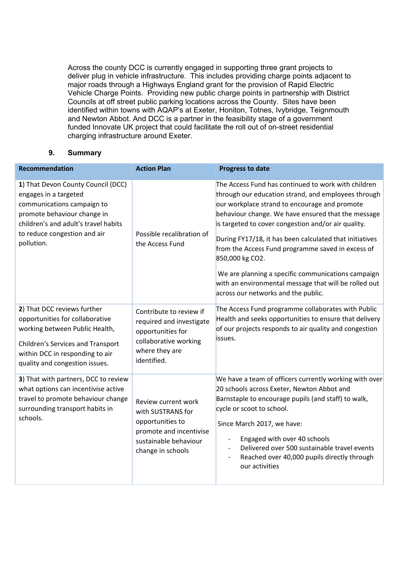Across the county DCC is currently engaged in supporting three grant projects to deliver plug in vehicle infrastructure. This includes providing charge points adjacent to major roads through a Highways England grant for the provision of Rapid Electric Vehicle Charge Points. Providing new public charge points in partnership with District Councils at off street public parking locations across the County. Sites have been identified within towns with AQAP's at Exeter, Honiton, Totnes, Ivybridge, Teignmouth and Newton Abbot. And DCC is a partner in the feasibility stage of a government funded Innovate UK project that could facilitate the roll out of on-street residential charging infrastructure around Exeter.

## **9. Summary**

| Recommendation                                                                                                                                                                                                 | <b>Action Plan</b>                                                                                                                    | <b>Progress to date</b>                                                                                                                                                                                                                                                                                                                                                                                                                                                                                                                                           |
|----------------------------------------------------------------------------------------------------------------------------------------------------------------------------------------------------------------|---------------------------------------------------------------------------------------------------------------------------------------|-------------------------------------------------------------------------------------------------------------------------------------------------------------------------------------------------------------------------------------------------------------------------------------------------------------------------------------------------------------------------------------------------------------------------------------------------------------------------------------------------------------------------------------------------------------------|
| 1) That Devon County Council (DCC)<br>engages in a targeted<br>communications campaign to<br>promote behaviour change in<br>children's and adult's travel habits<br>to reduce congestion and air<br>pollution. | Possible recalibration of<br>the Access Fund                                                                                          | The Access Fund has continued to work with children<br>through our education strand, and employees through<br>our workplace strand to encourage and promote<br>behaviour change. We have ensured that the message<br>is targeted to cover congestion and/or air quality.<br>During FY17/18, it has been calculated that initiatives<br>from the Access Fund programme saved in excess of<br>850,000 kg CO2.<br>We are planning a specific communications campaign<br>with an environmental message that will be rolled out<br>across our networks and the public. |
| 2) That DCC reviews further<br>opportunities for collaborative<br>working between Public Health,<br>Children's Services and Transport<br>within DCC in responding to air<br>quality and congestion issues.     | Contribute to review if<br>required and investigate<br>opportunities for<br>collaborative working<br>where they are<br>identified.    | The Access Fund programme collaborates with Public<br>Health and seeks opportunities to ensure that delivery<br>of our projects responds to air quality and congestion<br>issues.                                                                                                                                                                                                                                                                                                                                                                                 |
| 3) That with partners, DCC to review<br>what options can incentivise active<br>travel to promote behaviour change<br>surrounding transport habits in<br>schools.                                               | Review current work<br>with SUSTRANS for<br>opportunities to<br>promote and incentivise<br>sustainable behaviour<br>change in schools | We have a team of officers currently working with over<br>20 schools across Exeter, Newton Abbot and<br>Barnstaple to encourage pupils (and staff) to walk,<br>cycle or scoot to school.<br>Since March 2017, we have:<br>Engaged with over 40 schools<br>Delivered over 500 sustainable travel events<br>Reached over 40,000 pupils directly through<br>our activities                                                                                                                                                                                           |